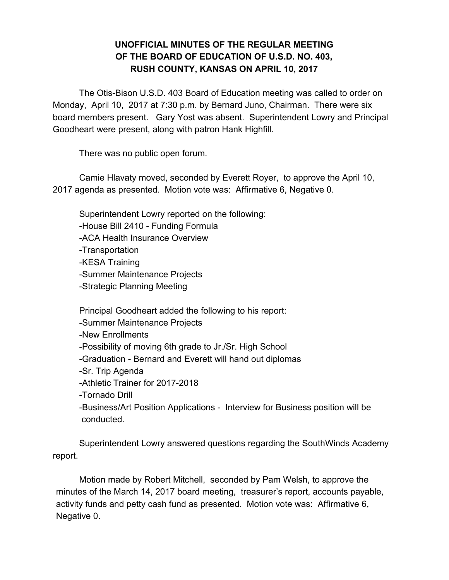## **UNOFFICIAL MINUTES OF THE REGULAR MEETING OF THE BOARD OF EDUCATION OF U.S.D. NO. 403, RUSH COUNTY, KANSAS ON APRIL 10, 2017**

The Otis-Bison U.S.D. 403 Board of Education meeting was called to order on Monday, April 10, 2017 at 7:30 p.m. by Bernard Juno, Chairman. There were six board members present. Gary Yost was absent. Superintendent Lowry and Principal Goodheart were present, along with patron Hank Highfill.

There was no public open forum.

Camie Hlavaty moved, seconded by Everett Royer, to approve the April 10, 2017 agenda as presented. Motion vote was: Affirmative 6, Negative 0.

Superintendent Lowry reported on the following: -House Bill 2410 - Funding Formula -ACA Health Insurance Overview -Transportation -KESA Training -Summer Maintenance Projects -Strategic Planning Meeting

Principal Goodheart added the following to his report: -Summer Maintenance Projects -New Enrollments -Possibility of moving 6th grade to Jr./Sr. High School -Graduation - Bernard and Everett will hand out diplomas -Sr. Trip Agenda -Athletic Trainer for 2017-2018 -Tornado Drill -Business/Art Position Applications - Interview for Business position will be conducted.

Superintendent Lowry answered questions regarding the SouthWinds Academy report.

Motion made by Robert Mitchell, seconded by Pam Welsh, to approve the minutes of the March 14, 2017 board meeting, treasurer's report, accounts payable, activity funds and petty cash fund as presented. Motion vote was: Affirmative 6, Negative 0.